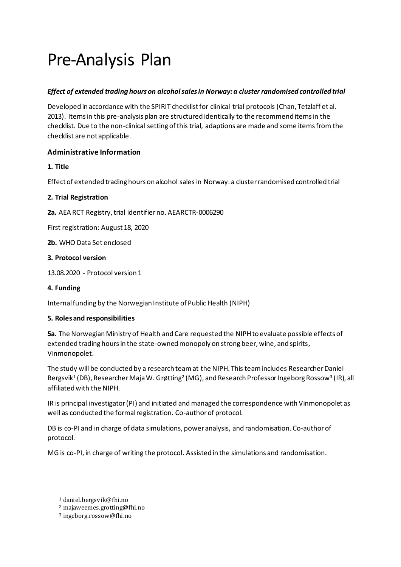# Pre-Analysis Plan

# *Effect of extended trading hours on alcohol sales in Norway: a cluster randomised controlled trial*

Developed in accordance with the SPIRIT checklist for clinical trial protocols (Chan, Tetzlaff et al. 2013). Items in this pre-analysis plan are structured identically to the recommend items in the checklist. Due to the non-clinical setting of this trial, adaptions are made and some items from the checklist are not applicable.

# **Administrative Information**

**1. Title**

Effect of extended trading hours on alcohol sales in Norway: a cluster randomised controlled trial

# **2. Trial Registration**

**2a.** AEA RCT Registry, trial identifier no. AEARCTR-0006290

First registration: August 18, 2020

**2b.** WHO Data Set enclosed

#### **3. Protocol version**

13.08.2020 - Protocol version 1

# **4. Funding**

Internal funding by the Norwegian Institute of Public Health (NIPH)

# **5. Roles and responsibilities**

**5a**. The Norwegian Ministry of Health and Care requested the NIPHto evaluate possible effects of extended trading hours in the state-owned monopoly on strong beer, wine, and spirits, Vinmonopolet.

The study will be conducted by a research teamat the NIPH. This team includes Researcher Daniel Bergsvik $^1$  (DB), Researcher Maja W. Grøtting $^2$  (MG), and Research Professor Ingeborg Rossow $^3$  (IR), all affiliated with the NIPH.

IR is principal investigator (PI) and initiated and managed the correspondence with Vinmonopolet as well as conducted the formal registration. Co-author of protocol.

DB is co-PI and in charge of data simulations, power analysis, and randomisation. Co-author of protocol.

MG is co-PI, in charge of writing the protocol. Assisted in the simulations and randomisation.

<sup>1</sup> daniel.bergsvik@fhi.no

<sup>2</sup> majaweemes.grotting@fhi.no

<sup>3</sup> ingeborg.rossow@fhi.no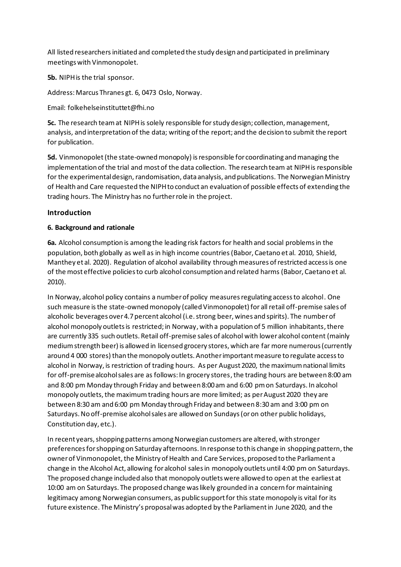All listed researchersinitiated and completed the study design and participated in preliminary meetings with Vinmonopolet.

**5b.** NIPH is the trial sponsor.

Address: Marcus Thranes gt. 6, 0473 Oslo, Norway.

Email: folkehelseinstituttet@fhi.no

**5c.** The research teamat NIPHis solely responsible for study design; collection, management, analysis, and interpretation of the data; writing of the report; and the decision to submit the report for publication.

**5d.** Vinmonopolet (the state-owned monopoly) is responsible for coordinating and managing the implementation of the trial and most of the data collection. The research team at NIPHis responsible for the experimental design, randomisation, data analysis, and publications. The Norwegian Ministry of Health and Care requested the NIPHto conduct an evaluation of possible effects of extending the trading hours. The Ministry has no further role in the project.

# **Introduction**

# **6. Background and rationale**

**6a.** Alcohol consumption is among the leading risk factors for health and social problems in the population, both globally as well as in high income countries (Babor, Caetano et al. 2010, Shield, Manthey et al. 2020). Regulation of alcohol availability through measures of restricted access is one of the most effective policies to curb alcohol consumption and related harms (Babor, Caetano et al. 2010).

In Norway, alcohol policy contains a number of policy measures regulating access to alcohol. One such measure is the state-owned monopoly (called Vinmonopolet) for all retail off-premise sales of alcoholic beverages over 4.7percent alcohol (i.e. strong beer, wines and spirits). The number of alcohol monopoly outlets is restricted; in Norway, with a population of 5 million inhabitants, there are currently 335 such outlets. Retail off-premise sales of alcohol with lower alcohol content (mainly medium strength beer) is allowed in licensed grocery stores, which are far more numerous (currently around 4 000 stores) than the monopoly outlets. Another important measure to regulate access to alcohol in Norway, is restriction of trading hours. As per August 2020, the maximum national limits for off-premise alcohol sales are as follows: In grocery stores, the trading hours are between 8:00 am and 8:00 pm Monday through Friday and between 8:00 am and 6:00 pm on Saturdays. In alcohol monopoly outlets, the maximum trading hours are more limited; as per August 2020 they are between 8:30 am and 6:00 pm Monday through Friday and between 8:30 am and 3:00 pm on Saturdays. No off-premise alcohol sales are allowed on Sundays (or on other public holidays, Constitution day, etc.).

In recent years, shopping patterns among Norwegian customers are altered, with stronger preferences for shopping on Saturday afternoons. In response to this change in shopping pattern, the owner of Vinmonopolet, the Ministry of Health and Care Services, proposed to the Parliament a change in the Alcohol Act, allowing for alcohol sales in monopoly outlets until 4:00 pm on Saturdays. The proposed change included also that monopoly outlets were allowed to open at the earliest at 10:00 am on Saturdays. The proposed change was likely grounded in a concern for maintaining legitimacy among Norwegian consumers, as public support for this state monopoly is vital for its future existence. The Ministry's proposal was adopted by the Parliament in June 2020, and the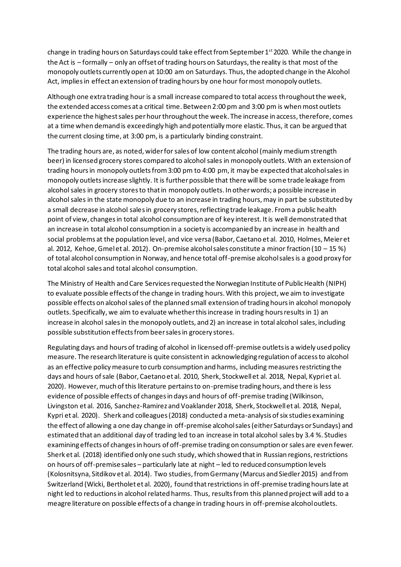change in trading hours on Saturdays could take effect from September 1<sup>st</sup> 2020. While the change in the Act is – formally – only an offset of trading hours on Saturdays, the reality is that most of the monopoly outlets currently open at 10:00 am on Saturdays. Thus, the adopted change in the Alcohol Act, implies in effect an extension of trading hours by one hour for most monopoly outlets.

Although one extra trading hour is a small increase compared to total access throughout the week, the extended access comes at a critical time. Between 2:00 pm and 3:00 pm is when most outlets experience the highest sales per hour throughout the week. The increase in access, therefore, comes at a time when demand is exceedingly high and potentially more elastic. Thus, it can be argued that the current closing time, at 3:00 pm, is a particularly binding constraint.

The trading hours are, as noted, wider for sales of low content alcohol (mainly medium strength beer) in licensed grocery stores compared to alcohol sales in monopoly outlets. With an extension of trading hours in monopoly outlets from 3:00 pm to 4:00 pm, it may be expected that alcohol sales in monopoly outlets increase slightly. It is further possible that there will be some trade leakage from alcohol sales in grocery stores to that in monopoly outlets. In other words; a possible increase in alcohol sales in the state monopoly due to an increase in trading hours, may in part be substituted by a small decrease in alcohol sales in grocery stores, reflecting trade leakage. From a public health point of view, changes in total alcohol consumption are of key interest. It is well demonstrated that an increase in total alcohol consumption in a society is accompanied by an increase in health and social problems at the population level, and vice versa (Babor, Caetano et al. 2010, Holmes, Meier et al. 2012, Kehoe, Gmelet al. 2012). On-premise alcohol sales constitute a minor fraction (10 – 15 %) of total alcohol consumption in Norway, and hence total off-premise alcohol sales is a good proxy for total alcohol sales and total alcohol consumption.

The Ministry of Health and Care Services requested the Norwegian Institute of Public Health (NIPH) to evaluate possible effects of the change in trading hours. With this project, we aim to investigate possible effects on alcohol sales of the planned small extension of trading hours in alcohol monopoly outlets. Specifically, we aim to evaluate whether this increase in trading hours results in 1) an increase in alcohol sales in the monopoly outlets, and 2) an increase in total alcohol sales, including possible substitution effects from beer sales in grocery stores.

Regulating days and hours of trading of alcohol in licensed off-premise outlets is a widely used policy measure. The research literature is quite consistent in acknowledging regulation of access to alcohol as an effective policy measure to curb consumption and harms, including measures restricting the days and hours of sale (Babor, Caetano et al. 2010, Sherk, Stockwell et al. 2018, Nepal, Kypri et al. 2020). However, much of this literature pertains to on-premise trading hours, and there is less evidence of possible effects of changes in days and hours of off-premise trading (Wilkinson, Livingston et al. 2016, Sanchez-Ramirez and Voaklander 2018, Sherk, Stockwell et al. 2018, Nepal, Kypri et al. 2020). Sherk and colleagues (2018) conducted a meta-analysis of six studies examining the effect of allowing a one day change in off-premise alcohol sales (either Saturdays or Sundays) and estimated that an additional day of trading led to an increase in total alcohol sales by 3.4 %. Studies examining effects of changes in hours of off-premise trading on consumption or sales are even fewer. Sherk et al. (2018) identified only one such study, which showed that in Russian regions, restrictions on hours of off-premise sales – particularly late at night – led to reduced consumption levels (Kolosnitsyna, Sitdikov et al. 2014). Two studies, from Germany (Marcus and Siedler 2015) and from Switzerland (Wicki, Bertholet et al. 2020), found that restrictions in off-premise trading hours late at night led to reductions in alcohol related harms. Thus, results from this planned project will add to a meagre literature on possible effects of a change in trading hours in off-premise alcohol outlets.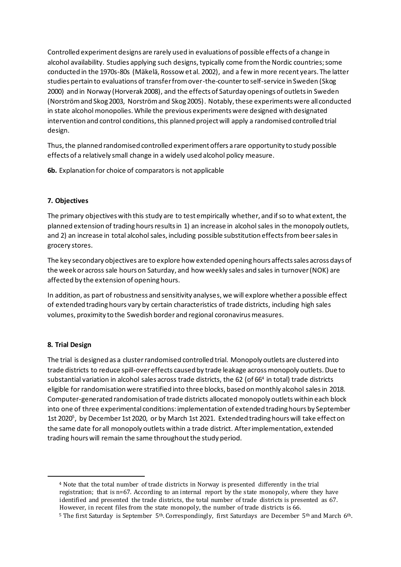Controlled experiment designs are rarely used in evaluations of possible effects of a change in alcohol availability. Studies applying such designs, typically come from the Nordic countries; some conducted in the 1970s-80s (Mäkelä, Rossow et al. 2002), and a few in more recent years. The latter studies pertain to evaluations of transfer from over-the-counter to self-service in Sweden (Skog 2000) and in Norway (Horverak 2008), and the effects of Saturday openings of outlets in Sweden (Norström and Skog 2003, Norström and Skog 2005). Notably, these experiments were all conducted in state alcohol monopolies. While the previous experiments were designed with designated intervention and control conditions, this planned project will apply a randomised controlled trial design.

Thus, the planned randomised controlled experiment offers a rare opportunity to study possible effects of a relatively small change in a widely used alcohol policy measure.

**6b.** Explanation for choice of comparators is not applicable

#### **7. Objectives**

The primary objectives with this study are to test empirically whether, and if so to what extent, the planned extension of trading hours results in 1) an increase in alcohol sales in the monopoly outlets, and 2) an increase in total alcohol sales, including possible substitution effects from beer sales in grocery stores.

The key secondary objectives are to explore how extended opening hours affects sales across days of the week or across sale hours on Saturday, and how weekly sales and sales in turnover (NOK) are affected by the extension of opening hours.

In addition, as part of robustness and sensitivity analyses, we will explore whether a possible effect of extended trading hours vary by certain characteristics of trade districts, including high sales volumes, proximity to the Swedish border and regional coronavirus measures.

#### **8. Trial Design**

The trial is designed as a cluster randomised controlled trial. Monopoly outlets are clustered into trade districts to reduce spill-over effects caused by trade leakage across monopoly outlets. Due to substantial variation in alcohol sales across trade districts, the 62 (of 66 4 in total) trade districts eligible for randomisation were stratified into three blocks, based on monthly alcohol sales in 2018. Computer-generated randomisation of trade districts allocated monopoly outlets within each block into one of three experimental conditions: implementation of extended trading hours by September 1st 2020<sup>5</sup>, by December 1st 2020, or by March 1st 2021. Extended trading hours will take effect on the same date for all monopoly outlets within a trade district. After implementation, extended trading hours will remain the same throughout the study period.

<sup>4</sup> Note that the total number of trade districts in Norway is presented differently in the trial registration; that is n=67. According to an internal report by the state monopoly, where they have identified and presented the trade districts, the total number of trade districts is presented as 67. However, in recent files from the state monopoly, the number of trade districts is 66.

<sup>5</sup> The first Saturday is September 5th. Correspondingly, first Saturdays are December 5th and March 6th.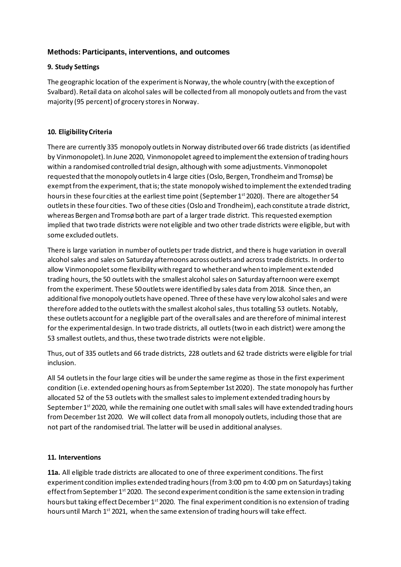# **Methods: Participants, interventions, and outcomes**

# **9. Study Settings**

The geographic location of the experiment is Norway, the whole country (with the exception of Svalbard). Retail data on alcohol sales will be collected from all monopoly outlets and from the vast majority (95 percent) of grocery stores in Norway.

# **10. Eligibility Criteria**

There are currently 335 monopoly outlets in Norway distributed over 66 trade districts (as identified by Vinmonopolet). In June 2020, Vinmonopolet agreed to implement the extension of trading hours within a randomised controlled trial design, although with some adjustments. Vinmonopolet requested that the monopoly outlets in 4 large cities (Oslo, Bergen, Trondheim and Tromsø) be exempt from the experiment, that is; the state monopoly wished to implement the extended trading hours in these four cities at the earliest time point (September 1<sup>st</sup> 2020). There are altogether 54 outlets in these four cities. Two of these cities (Oslo and Trondheim), each constitute a trade district, whereas Bergen and Tromsø both are part of a larger trade district. This requested exemption implied that two trade districts were not eligible and two other trade districts were eligible, but with some excluded outlets.

There is large variation in number of outlets per trade district, and there is huge variation in overall alcohol sales and sales on Saturday afternoons across outlets and across trade districts. In order to allow Vinmonopolet some flexibility with regard to whether and when to implement extended trading hours,the 50 outlets with the smallest alcohol sales on Saturday afternoon were exempt from the experiment. These 50 outlets were identified by sales data from 2018. Since then, an additional five monopoly outlets have opened. Three of these have very low alcohol sales and were therefore added to the outlets with the smallest alcohol sales, thus totalling 53 outlets. Notably, these outlets account for a negligible part of the overall sales and are therefore of minimal interest for the experimental design. In two trade districts, all outlets (two in each district) were among the 53 smallest outlets, and thus, these two trade districts were not eligible.

Thus, out of 335 outlets and 66 trade districts, 228 outlets and 62 trade districts were eligible for trial inclusion.

All 54 outlets in the four large cities will be under the same regime as those in the first experiment condition (i.e. extended opening hours as from September 1st 2020). The state monopoly has further allocated 52 of the 53 outlets with the smallest salesto implement extended trading hours by September 1<sup>st</sup> 2020, while the remaining one outlet with small sales will have extended trading hours from December 1st 2020. We will collect data from all monopoly outlets, including those that are not part of the randomised trial. The latter will be used in additional analyses.

# **11. Interventions**

**11a.** All eligible trade districts are allocated to one of three experiment conditions. The first experiment condition implies extended trading hours (from 3:00 pm to 4:00 pm on Saturdays) taking effect from September 1<sup>st</sup> 2020. The second experiment condition is the same extension in trading hours but taking effect December 1<sup>st</sup> 2020. The final experiment condition is no extension of trading hours until March 1<sup>st</sup> 2021, when the same extension of trading hours will take effect.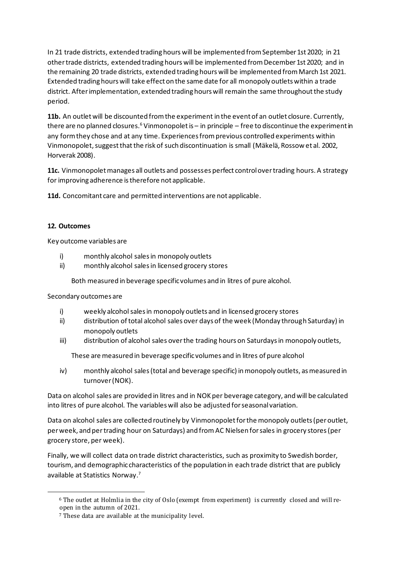In 21 trade districts, extended trading hours will be implemented from September 1st 2020; in 21 othertrade districts, extended trading hours will be implemented from December 1st 2020; and in the remaining 20 trade districts, extended trading hours will be implemented from March 1st 2021. Extended trading hours will take effect on the same date for all monopoly outlets within a trade district. After implementation, extended trading hours will remain the same throughout the study period.

**11b.** An outlet will be discounted from the experiment in the event of an outlet closure. Currently, there are no planned closures.<sup>6</sup> Vinmonopolet is – in principle – free to discontinue the experiment in any form they chose and at any time. Experiences from previous controlled experiments within Vinmonopolet, suggest that the risk of such discontinuation is small (Mäkelä, Rossow et al. 2002, Horverak 2008).

**11c.** Vinmonopolet manages all outlets and possesses perfect control over trading hours. A strategy for improving adherence is therefore not applicable.

**11d.** Concomitant care and permitted interventions are not applicable.

#### **12. Outcomes**

Key outcome variables are

- i) monthly alcohol sales in monopoly outlets
- ii) monthly alcohol sales in licensed grocery stores

Both measured in beverage specific volumes and in litres of pure alcohol.

Secondary outcomes are

- i) weekly alcohol sales in monopoly outlets and in licensed grocery stores
- ii) distribution of total alcohol sales over days of the week (Monday through Saturday) in monopoly outlets
- iii) distribution of alcohol sales over the trading hours on Saturdays in monopoly outlets,

These are measured in beverage specific volumes and in litres of pure alcohol

iv) monthly alcohol sales (total and beverage specific) in monopoly outlets, as measured in turnover (NOK).

Data on alcohol sales are provided in litres and in NOK per beverage category, and will be calculated into litres of pure alcohol. The variables will also be adjusted for seasonal variation.

Data on alcohol sales are collected routinely by Vinmonopolet for the monopoly outlets (per outlet, per week, and per trading hour on Saturdays) and from AC Nielsen for sales in grocery stores (per grocery store, per week).

Finally, we will collect data on trade district characteristics, such as proximity to Swedish border, tourism, and demographic characteristics of the population in each trade district that are publicly available at Statistics Norway. 7

<sup>6</sup> The outlet at Holmlia in the city of Oslo (exempt from experiment) is currently closed and will reopen in the autumn of 2021.

<sup>7</sup> These data are available at the municipality level.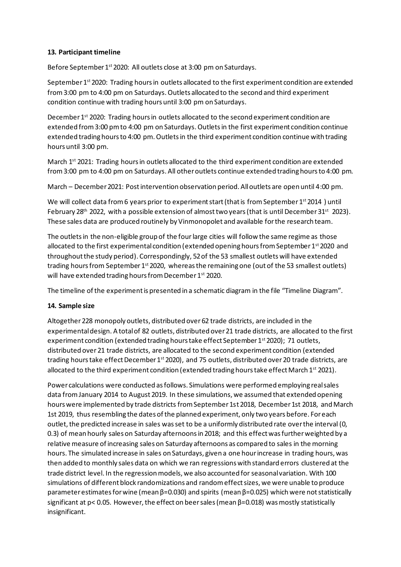# **13. Participant timeline**

Before September 1<sup>st</sup> 2020: All outlets close at 3:00 pm on Saturdays.

September 1<sup>st</sup> 2020: Trading hours in outlets allocated to the first experiment condition are extended from 3:00 pm to 4:00 pm on Saturdays. Outlets allocated to the second and third experiment condition continue with trading hours until 3:00 pm on Saturdays.

December 1<sup>st</sup> 2020: Trading hours in outlets allocated to the second experiment condition are extended from 3:00 pm to 4:00 pm on Saturdays. Outlets in the first experiment condition continue extended trading hours to 4:00 pm. Outletsin the third experiment condition continue with trading hours until 3:00 pm.

March  $1<sup>st</sup>$  2021: Trading hours in outlets allocated to the third experiment condition are extended from 3:00 pm to 4:00 pm on Saturdays. All other outlets continue extended trading hours to 4:00 pm.

March – December 2021: Post intervention observation period. All outlets are open until 4:00 pm.

We will collect data from 6 years prior to experiment start (that is from September 1<sup>st</sup> 2014) until February 28<sup>th</sup> 2022, with a possible extension of almost two years (that is until December 31<sup>st</sup> 2023). These sales data are produced routinely by Vinmonopolet and available for the research team.

The outlets in the non-eligible group of the four large cities will follow the same regime as those allocated to the first experimental condition (extended opening hours from September 1st 2020 and throughout the study period). Correspondingly, 52 of the 53 smallest outlets will have extended trading hours from September 1st 2020, whereas the remaining one (out of the 53 smallest outlets) will have extended trading hours from December 1<sup>st</sup> 2020.

The timeline of the experiment is presented in a schematic diagram in the file "Timeline Diagram".

# **14. Sample size**

Altogether 228 monopoly outlets, distributed over 62 trade districts, are included in the experimental design. A total of 82 outlets, distributed over 21 trade districts, are allocated to the first experiment condition (extended trading hours take effect September 1<sup>st</sup> 2020); 71 outlets, distributed over 21 trade districts, are allocated to the second experiment condition (extended trading hours take effect December 1<sup>st</sup> 2020), and 75 outlets, distributed over 20 trade districts, are allocated to the third experiment condition (extended trading hours take effect March  $1^{st}$  2021).

Power calculations were conducted as follows. Simulations were performed employing real sales data from January 2014 to August 2019. In these simulations, we assumed that extended opening hours were implemented by trade districts from September 1st 2018, December 1st 2018, and March 1st 2019, thus resembling the dates of the planned experiment, only two years before. For each outlet, the predicted increase in sales was set to be a uniformly distributed rate over the interval (0, 0.3) of mean hourly sales on Saturday afternoons in 2018; and this effect was further weighted by a relative measure of increasing sales on Saturday afternoons as compared to sales in the morning hours. The simulated increase in sales on Saturdays, given a one hour increase in trading hours, was then added to monthly sales data on which we ran regressions with standard errors clustered at the trade district level. In the regression models, we also accounted for seasonal variation. With 100 simulations of different block randomizations and random effect sizes, we were unable to produce parameter estimates for wine (mean β=0.030) and spirits (mean β=0.025) which were not statistically significant at p< 0.05. However, the effect on beer sales (mean β=0.018) was mostly statistically insignificant.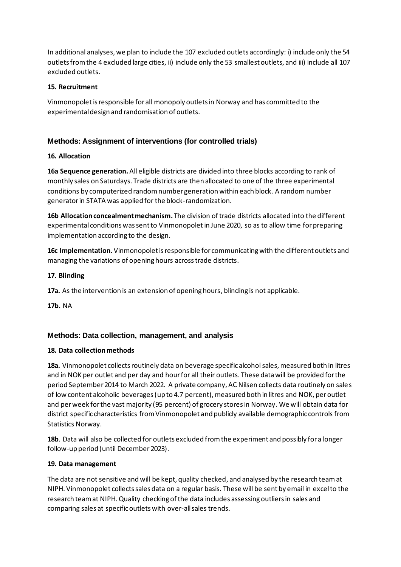In additional analyses, we plan to include the 107 excluded outlets accordingly: i) include only the 54 outlets from the 4 excluded large cities, ii) include only the 53 smallest outlets, and iii) include all 107 excluded outlets.

# **15. Recruitment**

Vinmonopoletis responsible for all monopoly outlets in Norway and has committed to the experimental design and randomisation of outlets.

# **Methods: Assignment of interventions (for controlled trials)**

# **16. Allocation**

**16a Sequence generation.**All eligible districts are divided into three blocks according to rank of monthly sales on Saturdays. Trade districts are then allocated to one of the three experimental conditions by computerized random number generation within each block. A random number generator in STATA was applied for the block-randomization.

**16b Allocation concealment mechanism.** The division of trade districts allocated into the different experimental conditions wassent to Vinmonopoletin June 2020, so as to allow time for preparing implementation according to the design.

**16c Implementation.**Vinmonopolet is responsible for communicating with the different outlets and managing the variations of opening hours across trade districts.

# **17. Blinding**

**17a.** As the intervention is an extension of opening hours, blinding is not applicable.

**17b.** NA

# **Methods: Data collection, management, and analysis**

# **18. Data collection methods**

**18a.** Vinmonopolet collects routinely data on beverage specific alcohol sales, measured both in litres and in NOK per outlet and per day and hour for all their outlets. These data will be provided for the period September 2014 to March 2022. A private company, AC Nilsen collects data routinely on sales of low content alcoholic beverages (up to 4.7 percent), measured both in litres and NOK, per outlet and per week for the vast majority (95 percent) of grocery stores in Norway. We will obtain data for district specific characteristics from Vinmonopolet and publicly available demographic controls from Statistics Norway.

**18b**. Data will also be collected for outlets excluded from the experiment and possibly for a longer follow-up period (until December 2023).

# **19. Data management**

The data are not sensitive and will be kept, quality checked, and analysed by the research teamat NIPH. Vinmonopolet collects sales data on a regular basis. These will be sent by email in excel to the research team at NIPH. Quality checking of the data includes assessing outliers in sales and comparing sales at specific outlets with over-all sales trends.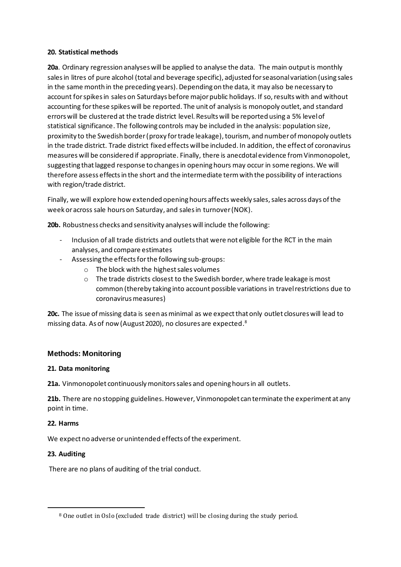#### **20. Statistical methods**

**20a**. Ordinary regression analyses will be applied to analyse the data. The main output is monthly sales in litres of pure alcohol (total and beverage specific), adjusted for seasonal variation (using sales in the same month in the preceding years). Depending on the data, it may also be necessary to account for spikes in sales on Saturdays before major public holidays. If so, results with and without accounting for these spikes will be reported. The unit of analysis is monopoly outlet, and standard errors will be clustered at the trade district level. Results will be reported using a 5% level of statistical significance. The following controls may be included in the analysis: population size, proximity to the Swedish border (proxy for trade leakage), tourism, and number of monopoly outlets in the trade district. Trade district fixed effects will be included. In addition, the effect of coronavirus measures will be considered if appropriate. Finally, there is anecdotalevidence from Vinmonopolet, suggesting thatlagged response to changes in opening hours may occur in some regions. We will therefore assess effects in the short and the intermediate termwith the possibility of interactions with region/trade district.

Finally, we will explore how extended opening hours affects weekly sales, sales across days of the week or across sale hours on Saturday, and sales in turnover (NOK).

**20b.** Robustness checks and sensitivity analyses will include the following:

- Inclusion of all trade districts and outlets that were not eligible for the RCT in the main analyses, and compare estimates
- Assessing the effects for the following sub-groups:
	- o The block with the highestsales volumes
	- o The trade districts closest to the Swedish border, where trade leakage is most common (thereby taking into account possible variations in travel restrictions due to coronavirus measures)

**20c.** The issue of missing data is seen as minimal as we expect that only outlet closures will lead to missing data. As of now (August 2020), no closures are <code>expected. $^{\rm 8}$ </code>

# **Methods: Monitoring**

# **21. Data monitoring**

**21a.** Vinmonopolet continuously monitors sales and opening hours in all outlets.

**21b.** There are no stopping guidelines. However, Vinmonopolet can terminate the experiment at any point in time.

#### **22. Harms**

We expect no adverse or unintended effects of the experiment.

# **23. Auditing**

There are no plans of auditing of the trial conduct.

<sup>8</sup> One outlet in Oslo (excluded trade district) will be closing during the study period.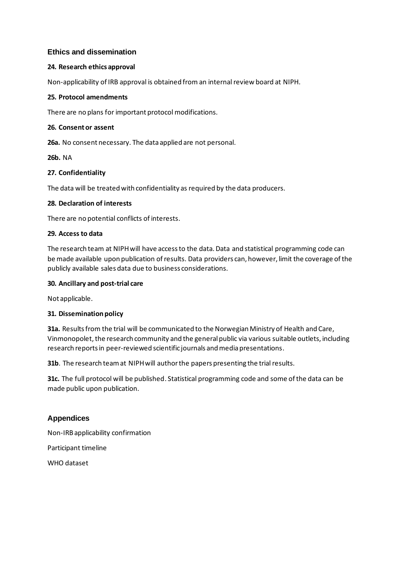# **Ethics and dissemination**

#### **24. Research ethics approval**

Non-applicability of IRB approval is obtained from an internal review board at NIPH.

#### **25. Protocol amendments**

There are no plans for important protocol modifications.

#### **26. Consent or assent**

**26a.** No consent necessary. The data applied are not personal.

#### **26b.** NA

#### **27. Confidentiality**

The data will be treated with confidentiality as required by the data producers.

#### **28. Declaration of interests**

There are no potential conflicts of interests.

#### **29. Access to data**

The research team at NIPHwill have access to the data. Data and statistical programming code can be made available upon publication of results. Data providers can, however, limit the coverage of the publicly available sales data due to business considerations.

#### **30. Ancillary and post-trial care**

Not applicable.

#### **31. Dissemination policy**

**31a.** Results from the trial will be communicated to the Norwegian Ministry of Health and Care, Vinmonopolet, the research community and the general public via various suitable outlets, including research reports in peer-reviewed scientific journals and media presentations.

**31b**. The research team at NIPH will author the papers presenting the trial results.

**31c.** The full protocol will be published. Statistical programming code and some of the data can be made public upon publication.

# **Appendices**

Non-IRBapplicability confirmation

Participant timeline

WHO dataset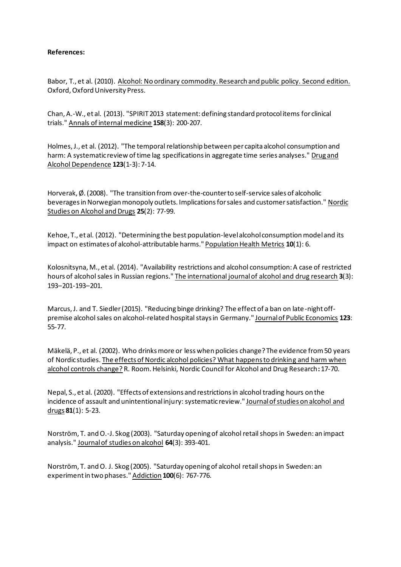#### **References:**

Babor, T., et al. (2010). Alcohol: No ordinary commodity. Research and public policy. Second edition. Oxford, Oxford University Press.

Chan, A.-W., et al. (2013). "SPIRIT 2013 statement: defining standard protocol items for clinical trials." Annals of internal medicine **158**(3): 200-207.

Holmes, J., et al. (2012). "The temporal relationship between per capita alcohol consumption and harm: A systematic review of time lag specifications in aggregate time series analyses." Drug and Alcohol Dependence **123**(1-3): 7-14.

Horverak, Ø. (2008). "The transition from over-the-counter to self-service sales of alcoholic beverages in Norwegian monopoly outlets. Implications for sales and customer satisfaction." Nordic Studies on Alcohol and Drugs **25**(2): 77-99.

Kehoe, T., et al. (2012). "Determining the best population-level alcohol consumption model and its impact on estimates of alcohol-attributable harms." Population Health Metrics **10**(1): 6.

Kolosnitsyna, M., et al. (2014). "Availability restrictions and alcohol consumption: A case of restricted hours of alcohol sales in Russian regions." The international journal of alcohol and drug research **3**(3): 193–201-193–201.

Marcus, J. and T. Siedler (2015). "Reducing binge drinking? The effect of a ban on late-night offpremise alcohol sales on alcohol-related hospital stays in Germany." Journal of Public Economics **123**: 55-77.

Mäkelä, P., et al. (2002). Who drinks more or less when policies change? The evidence from 50 years of Nordic studies. The effects of Nordic alcohol policies? What happens to drinking and harm when alcohol controls change? R. Room. Helsinki, Nordic Council for Alcohol and Drug Research**:** 17-70.

Nepal, S., et al. (2020). "Effects of extensions and restrictions in alcohol trading hours on the incidence of assault and unintentional injury: systematic review." Journal of studies on alcohol and drugs **81**(1): 5-23.

Norström, T. and O.-J. Skog (2003). "Saturday opening of alcohol retail shops in Sweden: an impact analysis." Journal of studies on alcohol **64**(3): 393-401.

Norström, T. and O. J. Skog (2005). "Saturday opening of alcohol retail shops in Sweden: an experiment in two phases." Addiction **100**(6): 767-776.